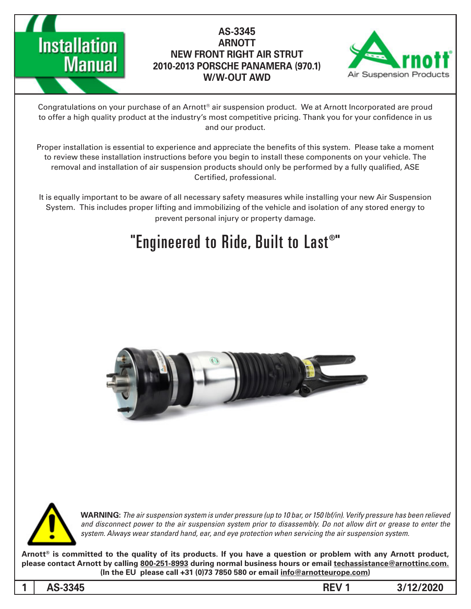

#### **AS-3345 ARNOTT NEW FRONT RIGHT AIR STRUT (970.1) PANAMERA PORSCHE 2010-2013 W/W-OUT AWD**



Congratulations on your purchase of an Arnott® air suspension product. We at Arnott Incorporated are proud to offer a high quality product at the industry's most competitive pricing. Thank you for your confidence in us and our product.

Proper installation is essential to experience and appreciate the benefits of this system. Please take a moment to review these installation instructions before you begin to install these components on your vehicle. The removal and installation of air suspension products should only be performed by a fully qualified, ASE Certified, professional.

It is equally important to be aware of all necessary safety measures while installing your new Air Suspension System. This includes proper lifting and immobilizing of the vehicle and isolation of any stored energy to prevent personal injury or property damage.

### "Engineered to Ride, Built to Last®"





*WARNING: The air suspension system is under pressure (up to 10 bar, or 150 lbf/in). Verify pressure has been relieved* and disconnect power to the air suspension system prior to disassembly. Do not allow dirt or grease to enter the system. Always wear standard hand, ear, and eye protection when servicing the air suspension system.

Arnott<sup>®</sup> is committed to the quality of its products. If you have a question or problem with any Arnott product, please contact Arnott by calling 800-251-8993 during normal business hours or email techassistance@arnottinc.com. (In the EU please call +31 (0)73 7850 580 or email info@arnotteurope.com)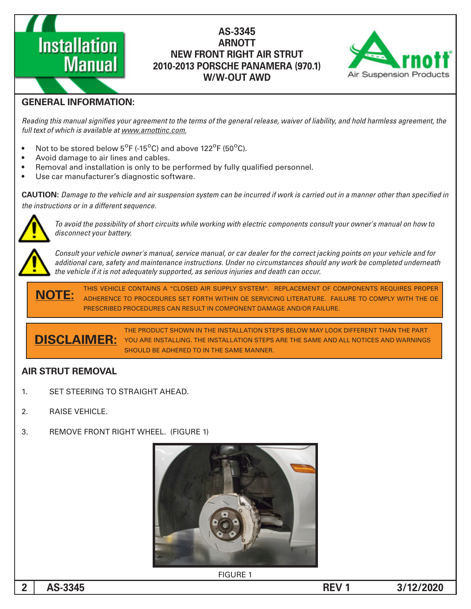# **Installation Manual**

#### **AS-3345 ARNOTT NEW FRONT RIGHT AIR STRUT (970.1) PANAMERA PORSCHE 2010-2013 W/W-OUT AWD**



#### **GENERAL INFORMATION:**

Reading this manual signifies your agreement to the terms of the general release, waiver of liability, and hold harmless agreement, the full text of which is available at www.arnottinc.com.

- Not to be stored below  $5^{\circ}$ F (-15 $^{\circ}$ C) and above 122 $^{\circ}$ F (50 $^{\circ}$ C).
- Avoid damage to air lines and cables.
- . Removal and installation is only to be performed by fully qualified personnel.
- Use car manufacturer's diagnostic software.

 *in specified than other manner a in out carried is work if incurred be can system suspension air and vehicle the to Damage* **:CAUTION** *the instructions or in a different sequence.* 



 *to how on manual s'owner your consult components electric with working while circuits short of possibility the avoid To* disconnect your battery.

*Consult your vehicle owner's manual, service manual, or car dealer for the correct jacking points on your vehicle and for* additional care, safety and maintenance instructions. Under no circumstances should any work be completed underneath *the vehicle if it is not adequately supported, as serious injuries and death can occur.* 

THIS VEHICLE CONTAINS A "CLOSED AIR SUPPLY SYSTEM". REPLACEMENT OF COMPONENTS REQUIRES PROPER ADHERENCE TO PROCEDURES SET FORTH WITHIN OE SERVICING LITERATURE. FAILURE TO COMPLY WITH THE OE PRESCRIBED PROCEDURES CAN RESULT IN COMPONENT DAMAGE AND/OR FAILURE. **:NOTE**

THE PRODUCT SHOWN IN THE INSTALLATION STEPS BELOW MAY LOOK DIFFERENT THAN THE PART YOU ARE INSTALLING. THE INSTALLATION STEPS ARE THE SAME AND ALL NOTICES AND WARNINGS SHOULD BE ADHERED TO IN THE SAME MANNER **:DISCLAIMER**

#### **AIR STRUT REMOVAL**

- 1. SET STEERING TO STRAIGHT AHEAD.
- 2. RAISE VEHICLE.
- 3. REMOVE FRONT RIGHT WHEEL. (FIGURE 1)



**FIGURE 1**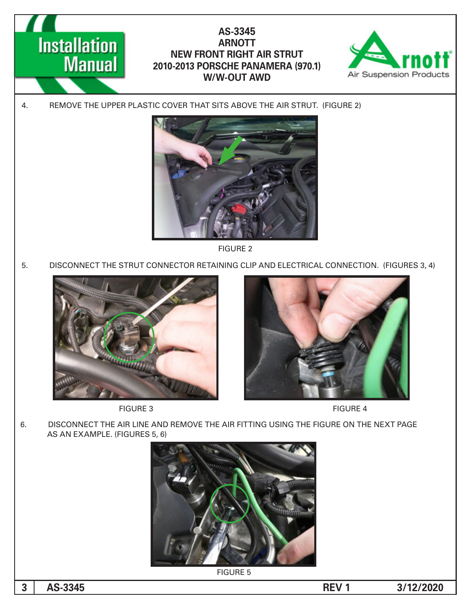



4. REMOVE THE UPPER PLASTIC COVER THAT SITS ABOVE THE AIR STRUT. (FIGURE 2)



2 FIGURE

5. DISCONNECT THE STRUT CONNECTOR RETAINING CLIP AND ELECTRICAL CONNECTION. (FIGURES 3, 4)









6. DISCONNECT THE AIR LINE AND REMOVE THE AIR FITTING USING THE FIGURE ON THE NEXT PAGE AS AN EXAMPLE. (FIGURES 5, 6)



**FIGURE 5**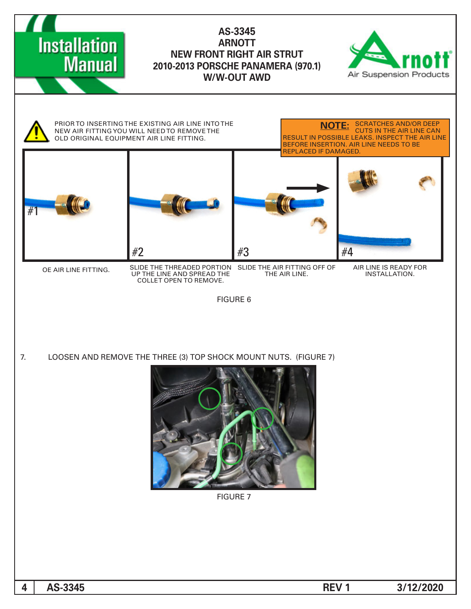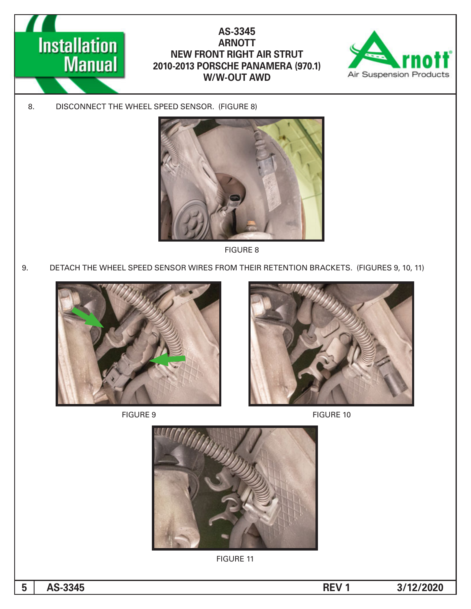



8. DISCONNECT THE WHEEL SPEED SENSOR. (FIGURE 8)



8 FIGURE

9. DETACH THE WHEEL SPEED SENSOR WIRES FROM THEIR RETENTION BRACKETS. (FIGURES 9, 10, 11)





FIGURE 9 FIGURE 10



**FIGURE 11**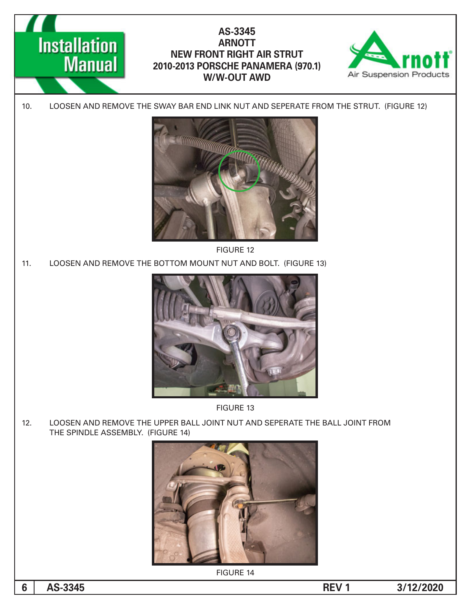



**FIGURE 14** 

**3/12/2020 1 REV 1**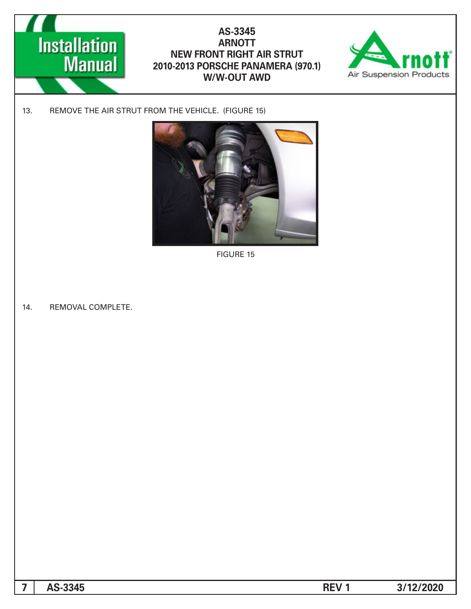



13. REMOVE THE AIR STRUT FROM THE VEHICLE. (FIGURE 15)



**FIGURE 15** 

14. REMOVAL COMPLETE.

| 7   AS-3345 | <b>REV<sub>1</sub></b> | 3/12/2020 |
|-------------|------------------------|-----------|
|             |                        |           |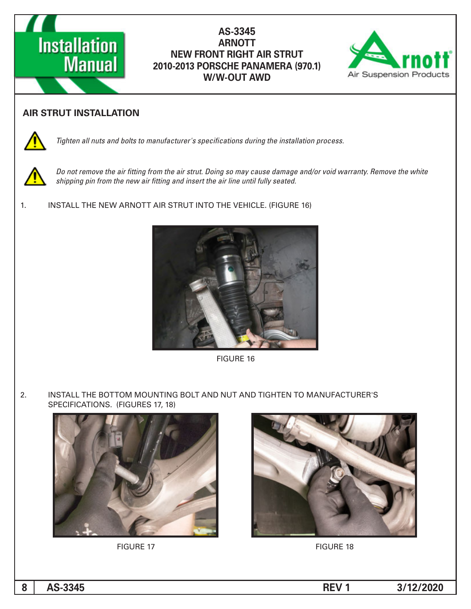## **Installation Manual**

#### AS-3345  **ARNOTT NEW FRONT RIGHT AIR STRUT 2010-2013 PORSCHE PANAMERA (970.1) W/W-OUT AWD**



#### **AIR STRUT INSTALLATION**



Tighten all nuts and bolts to manufacturer's specifications during the installation process.



Do not remove the air fitting from the air strut. Doing so may cause damage and/or void warranty. Remove the white shipping pin from the new air fitting and insert the air line until fully seated.

1. INSTALL THE NEW ARNOTT AIR STRUT INTO THE VEHICLE. (FIGURE 16)



**FIGURE 16** 

2. INSTALL THE BOTTOM MOUNTING BOLT AND NUT AND TIGHTEN TO MANUFACTURER'S SPECIFICATIONS. (FIGURES 17, 18)





FIGURE 17 FIGURE 18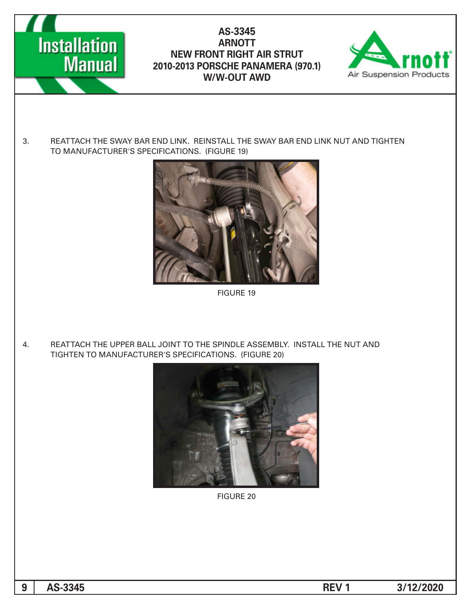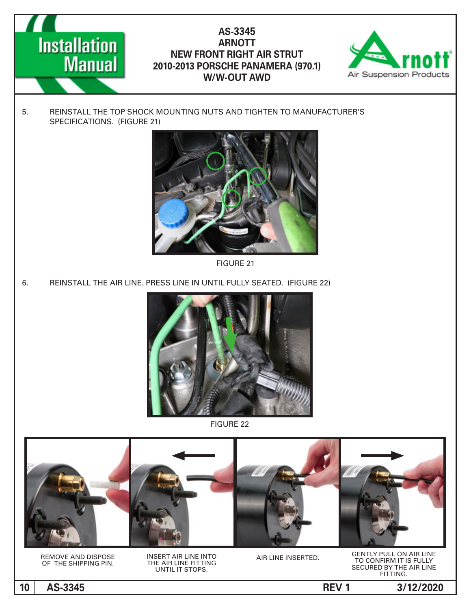



5. REINSTALL THE TOP SHOCK MOUNTING NUTS AND TIGHTEN TO MANUFACTURER'S SPECIFICATIONS. (FIGURE 21)



**FIGURE 21** 

6. REINSTALL THE AIR LINE. PRESS LINE IN UNTIL FULLY SEATED. (FIGURE 22)



22 FIGURE

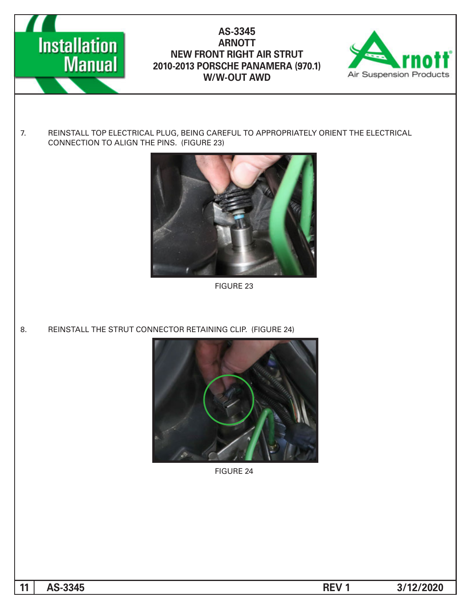



7. REINSTALL TOP ELECTRICAL PLUG, BEING CAREFUL TO APPROPRIATELY ORIENT THE ELECTRICAL CONNECTION TO ALIGN THE PINS. (FIGURE 23)



**FIGURE 23** 

8. REINSTALL THE STRUT CONNECTOR RETAINING CLIP. (FIGURE 24)



**FIGURE 24**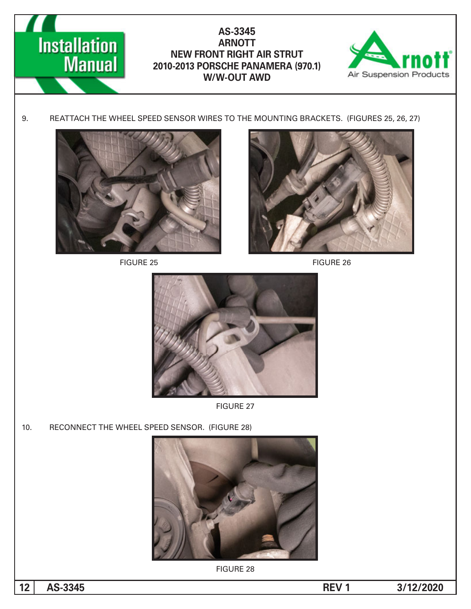



9. REATTACH THE WHEEL SPEED SENSOR WIRES TO THE MOUNTING BRACKETS. (FIGURES 25, 26, 27)



FIGURE 25 FIGURE 26





**FIGURE 27** 

10. RECONNECT THE WHEEL SPEED SENSOR. (FIGURE 28)



**FIGURE 28**